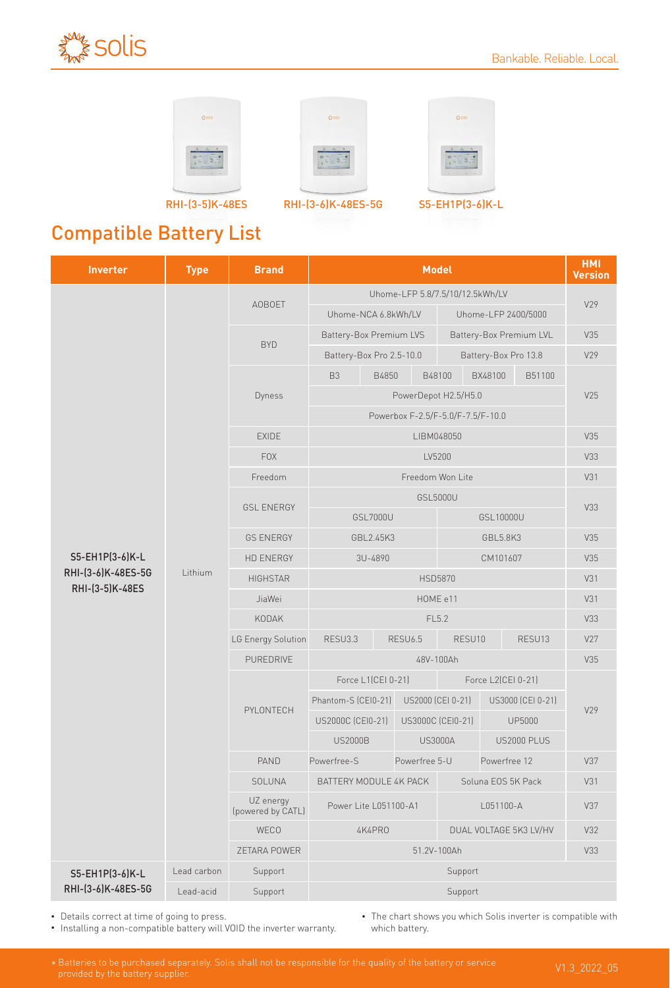







 $\alpha$ so

RHI-(3-5)K-48ES RHI-(3-6)K-48ES-5G S5-EH1P(3-6)K-L

## Compatible Battery List

| <b>Inverter</b>                       | <b>Type</b> | <b>Brand</b>                   | <b>Model</b>                                              |          |                          |                     |                    |                    | <b>HMI</b><br><b>Version</b> |  |
|---------------------------------------|-------------|--------------------------------|-----------------------------------------------------------|----------|--------------------------|---------------------|--------------------|--------------------|------------------------------|--|
|                                       |             | <b>AOBOET</b>                  | Uhome-LFP 5.8/7.5/10/12.5kWh/LV                           |          |                          |                     |                    |                    |                              |  |
|                                       |             |                                | Uhome-NCA 6.8kWh/LV                                       |          |                          | Uhome-LFP 2400/5000 |                    | V29                |                              |  |
|                                       |             | <b>BYD</b>                     | <b>Battery-Box Premium LVS</b><br>Battery-Box Premium LVL |          |                          |                     |                    | V35                |                              |  |
|                                       |             |                                | Battery-Box Pro 2.5-10.0<br>Battery-Box Pro 13.8          |          |                          |                     |                    | V29                |                              |  |
|                                       |             | Dyness                         | B <sub>3</sub>                                            | B4850    |                          | B48100              | BX48100            | B51100             |                              |  |
|                                       |             |                                | PowerDepot H2.5/H5.0                                      |          |                          |                     |                    |                    | V25                          |  |
|                                       |             |                                | Powerbox F-2.5/F-5.0/F-7.5/F-10.0                         |          |                          |                     |                    |                    |                              |  |
|                                       | Lithium     | <b>EXIDE</b>                   | LIBM048050                                                |          |                          |                     |                    |                    | V35                          |  |
| S5-EH1P(3-6)K-L                       |             | <b>FOX</b>                     | LV5200                                                    |          |                          |                     |                    |                    | V33                          |  |
|                                       |             | Freedom                        | Freedom Won Lite                                          |          |                          |                     |                    |                    | V31                          |  |
|                                       |             | <b>GSL ENERGY</b>              | GSL5000U                                                  |          |                          |                     |                    |                    | V33                          |  |
|                                       |             |                                |                                                           | GSL7000U |                          |                     | GSL10000U          |                    |                              |  |
|                                       |             | <b>GS ENERGY</b>               | GBL2.45K3<br>GBL5.8K3                                     |          |                          |                     |                    | V35                |                              |  |
|                                       |             | <b>HD ENERGY</b>               | 3U-4890<br>CM101607                                       |          |                          |                     |                    | V35                |                              |  |
| RHI-(3-6)K-48ES-5G<br>RHI-(3-5)K-48ES |             | <b>HIGHSTAR</b>                | <b>HSD5870</b>                                            |          |                          |                     |                    | V31                |                              |  |
|                                       |             | JiaWei                         | HOME e11                                                  |          |                          |                     |                    |                    | V31                          |  |
|                                       |             | KODAK                          | FL5.2                                                     |          |                          |                     |                    | V33                |                              |  |
|                                       |             | LG Energy Solution             | RESU3.3                                                   |          | <b>RESU6.5</b><br>RESU10 |                     |                    | RESU13             | V27                          |  |
|                                       |             | PUREDRIVE                      |                                                           |          | 48V-100Ah                |                     |                    |                    | V35                          |  |
|                                       |             | PYLONTECH                      | Force L1(CEI 0-21)                                        |          |                          |                     | Force L2(CEI 0-21) |                    |                              |  |
|                                       |             |                                | Phantom-S (CEI0-21)                                       |          |                          | US2000 (CEI 0-21)   |                    | US3000 (CEI 0-21)  | V29                          |  |
|                                       |             |                                | US2000C (CEI0-21)                                         |          | US3000C (CEI0-21)        |                     |                    | <b>UP5000</b>      |                              |  |
|                                       |             |                                | <b>US2000B</b>                                            |          |                          | <b>US3000A</b>      |                    | <b>US2000 PLUS</b> |                              |  |
|                                       |             | PAND                           | Powerfree-S                                               |          | Powerfree 5-U            |                     | Powerfree 12       |                    | V37                          |  |
|                                       |             | SOLUNA                         | BATTERY MODULE 4K PACK<br>Soluna EOS 5K Pack              |          |                          | V31                 |                    |                    |                              |  |
|                                       |             | UZ energy<br>(powered by CATL) | Power Lite L051100-A1<br>L051100-A                        |          |                          |                     | V37                |                    |                              |  |
|                                       |             | WECO                           | 4K4PR0<br>DUAL VOLTAGE 5K3 LV/HV                          |          |                          | V32                 |                    |                    |                              |  |
|                                       |             | ZETARA POWER                   | 51.2V-100Ah                                               |          |                          |                     |                    |                    | V33                          |  |
| S5-EH1P(3-6)K-L<br>RHI-(3-6)K-48ES-5G | Lead carbon | Support                        | Support                                                   |          |                          |                     |                    |                    |                              |  |
|                                       | Lead-acid   | Support                        | Support                                                   |          |                          |                     |                    |                    |                              |  |

• Details correct at time of going to press.

• Installing a non-compatible battery will VOID the inverter warranty.

• The chart shows you which Solis inverter is compatible with which battery.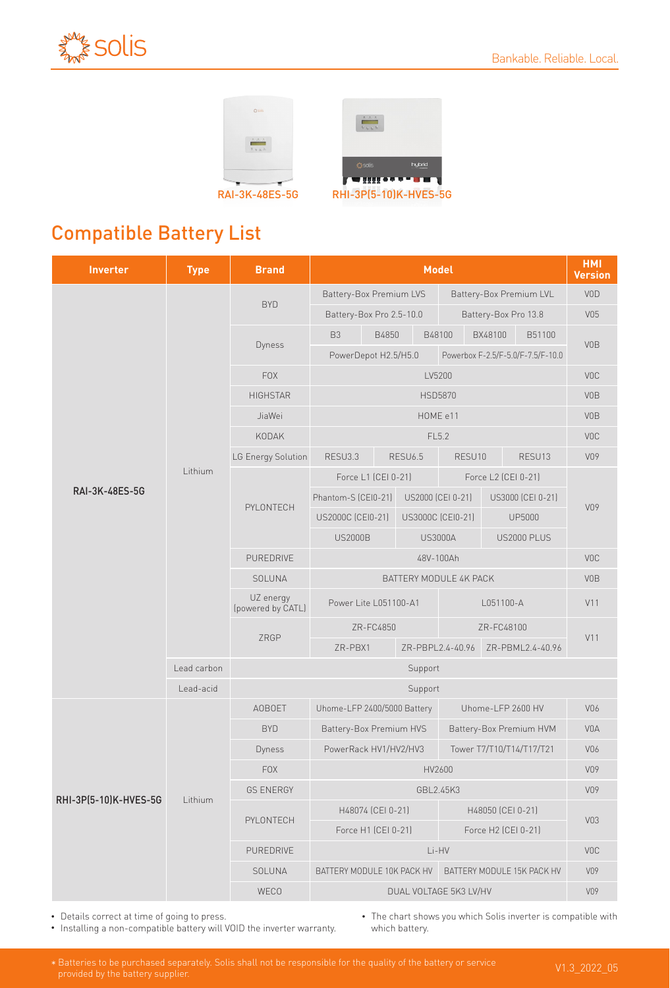





## Compatible Battery List

| <b>Inverter</b>       | <b>Type</b> | <b>Brand</b>                   | <b>Model</b>                                             |            |                         |                                      |                          |                                   | <b>HMI</b><br><b>Version</b> |
|-----------------------|-------------|--------------------------------|----------------------------------------------------------|------------|-------------------------|--------------------------------------|--------------------------|-----------------------------------|------------------------------|
|                       | Lithium     | <b>BYD</b>                     | <b>Battery-Box Premium LVS</b>                           |            |                         | Battery-Box Premium LVL              |                          |                                   | VOD                          |
|                       |             |                                | Battery-Box Pro 2.5-10.0                                 |            |                         | Battery-Box Pro 13.8                 |                          |                                   | V05                          |
|                       |             | Dyness                         | B <sub>3</sub>                                           | B4850      |                         | B48100                               | BX48100                  | B51100                            |                              |
|                       |             |                                | PowerDepot H2.5/H5.0                                     |            |                         |                                      |                          | Powerbox F-2.5/F-5.0/F-7.5/F-10.0 | V <sub>0</sub> B             |
|                       |             | <b>FOX</b>                     |                                                          | <b>VOC</b> |                         |                                      |                          |                                   |                              |
|                       |             | <b>HIGHSTAR</b>                |                                                          | <b>VOB</b> |                         |                                      |                          |                                   |                              |
|                       |             | JiaWei                         | HOME e11                                                 |            |                         |                                      |                          |                                   | <b>VOB</b>                   |
| RAI-3K-48ES-5G        |             | KODAK                          | FL5.2                                                    |            |                         |                                      |                          |                                   | <b>VOC</b>                   |
|                       |             | LG Energy Solution             | RESU3.3<br><b>RESU6.5</b>                                |            | RESU10                  |                                      | RESU13                   | V09                               |                              |
|                       |             | PYLONTECH                      | Force L1 (CEI 0-21)                                      |            |                         | Force L2 (CEI 0-21)                  |                          |                                   |                              |
|                       |             |                                | Phantom-S (CEI0-21)                                      |            |                         | US2000 (CEI 0-21)                    | US3000 (CEI 0-21)        |                                   | V09                          |
|                       |             |                                | US2000C (CEI0-21)                                        |            |                         | US3000C (CEI0-21)                    |                          | <b>UP5000</b>                     |                              |
|                       |             |                                | <b>US2000B</b>                                           |            |                         | <b>US3000A</b>                       | <b>US2000 PLUS</b>       |                                   |                              |
|                       |             | PUREDRIVE                      | 48V-100Ah                                                |            |                         |                                      |                          |                                   | <b>VOC</b>                   |
|                       |             | SOLUNA                         | BATTERY MODULE 4K PACK                                   |            |                         |                                      |                          |                                   | <b>VOB</b>                   |
|                       |             | UZ energy<br>(powered by CATL) | Power Lite L051100-A1<br>L051100-A                       |            |                         |                                      |                          |                                   | V11                          |
|                       |             | ZRGP                           | ZR-FC4850                                                |            |                         | ZR-FC48100                           |                          | V11                               |                              |
|                       |             |                                | ZR-PBX1                                                  |            |                         | ZR-PBML2.4-40.96<br>ZR-PBPL2.4-40.96 |                          |                                   |                              |
|                       | Lead carbon | Support                        |                                                          |            |                         |                                      |                          |                                   |                              |
|                       | Lead-acid   | Support                        |                                                          |            |                         |                                      |                          |                                   |                              |
| RHI-3P(5-10)K-HVES-5G | Lithium     | <b>AOBOET</b>                  | Uhome-LFP 2400/5000 Battery                              |            | Uhome-LFP 2600 HV       |                                      |                          | V06                               |                              |
|                       |             | <b>BYD</b>                     | Battery-Box Premium HVS                                  |            | Battery-Box Premium HVM |                                      |                          | <b>VOA</b>                        |                              |
|                       |             | Dyness                         | PowerRack HV1/HV2/HV3                                    |            |                         |                                      | Tower T7/T10/T14/T17/T21 |                                   |                              |
|                       |             | <b>FOX</b>                     | HV2600                                                   |            |                         |                                      |                          | V09                               |                              |
|                       |             | <b>GS ENERGY</b>               | GBL2.45K3                                                |            |                         |                                      |                          | V09                               |                              |
|                       |             | PYLONTECH                      | H48074 (CEI 0-21)                                        |            |                         | H48050 (CEI 0-21)                    |                          |                                   | V <sub>03</sub>              |
|                       |             |                                | Force H1 (CEI 0-21)<br>Force H2 (CEI 0-21)               |            |                         |                                      |                          |                                   |                              |
|                       |             | PUREDRIVE                      | Li-HV                                                    |            |                         |                                      |                          | <b>VOC</b>                        |                              |
|                       |             | SOLUNA                         | BATTERY MODULE 15K PACK HV<br>BATTERY MODULE 10K PACK HV |            |                         |                                      | V09                      |                                   |                              |
|                       |             | WECO                           | DUAL VOLTAGE 5K3 LV/HV                                   |            |                         |                                      |                          | V09                               |                              |

• Details correct at time of going to press.

• Installing a non-compatible battery will VOID the inverter warranty.

• The chart shows you which Solis inverter is compatible with which battery.